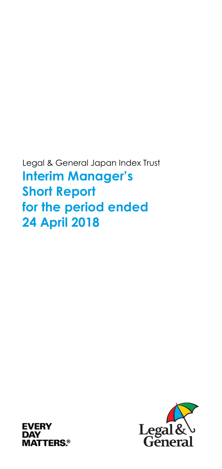Legal & General Japan Index Trust **Interim Manager's Short Report for the period ended 24 April 2018** 



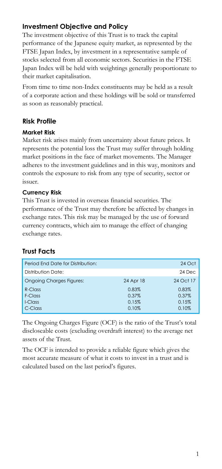# **Investment Objective and Policy**

The investment objective of this Trust is to track the capital performance of the Japanese equity market, as represented by the FTSE Japan Index, by investment in a representative sample of stocks selected from all economic sectors. Securities in the FTSE Japan Index will be held with weightings generally proportionate to their market capitalisation.

From time to time non-Index constituents may be held as a result of a corporate action and these holdings will be sold or transferred as soon as reasonably practical.

## **Risk Profile**

#### **Market Risk**

Market risk arises mainly from uncertainty about future prices. It represents the potential loss the Trust may suffer through holding market positions in the face of market movements. The Manager adheres to the investment guidelines and in this way, monitors and controls the exposure to risk from any type of security, sector or issuer.

## **Currency Risk**

This Trust is invested in overseas financial securities. The performance of the Trust may therefore be affected by changes in exchange rates. This risk may be managed by the use of forward currency contracts, which aim to manage the effect of changing exchange rates.

# **Trust Facts**

| Period End Date for Distribution: |           | 24 Oct    |
|-----------------------------------|-----------|-----------|
| Distribution Date:                |           | 24 Dec    |
| <b>Ongoing Charges Figures:</b>   | 24 Apr 18 | 24 Oct 17 |
| R-Class                           | 0.83%     | 0.83%     |
| F-Class                           | 0.37%     | 0.37%     |
| $LCI$ ass                         | 0.15%     | 0.15%     |
| C-Class                           | 0.10%     | 0.10%     |

The Ongoing Charges Figure (OCF) is the ratio of the Trust's total discloseable costs (excluding overdraft interest) to the average net assets of the Trust.

The OCF is intended to provide a reliable figure which gives the most accurate measure of what it costs to invest in a trust and is calculated based on the last period's figures.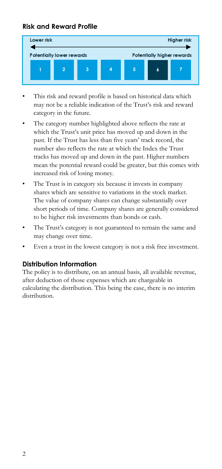## **Risk and Reward Profile**



- This risk and reward profile is based on historical data which may not be a reliable indication of the Trust's risk and reward category in the future.
- The category number highlighted above reflects the rate at which the Trust's unit price has moved up and down in the past. If the Trust has less than five years' track record, the number also reflects the rate at which the Index the Trust tracks has moved up and down in the past. Higher numbers mean the potential reward could be greater, but this comes with increased risk of losing money.
- The Trust is in category six because it invests in company shares which are sensitive to variations in the stock market. The value of company shares can change substantially over short periods of time. Company shares are generally considered to be higher risk investments than bonds or cash.
- The Trust's category is not guaranteed to remain the same and may change over time.
- Even a trust in the lowest category is not a risk free investment.

#### **Distribution Information**

The policy is to distribute, on an annual basis, all available revenue, after deduction of those expenses which are chargeable in calculating the distribution. This being the case, there is no interim distribution.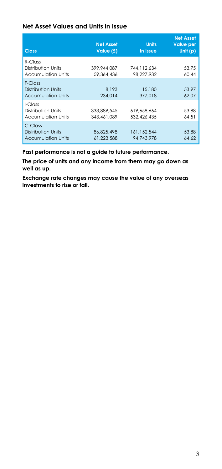#### **Net Asset Values and Units in Issue**

| <b>Class</b>                                                  | <b>Net Asset</b><br>Value (£) | <b>Units</b><br>in Issue    | <b>Net Asset</b><br><b>Value per</b><br>Unit $(p)$ |
|---------------------------------------------------------------|-------------------------------|-----------------------------|----------------------------------------------------|
| R-Class<br>Distribution Units<br>Accumulation Units           | 399,944,087<br>59.364.436     | 744, 112, 634<br>98.227.932 | 53.75<br>60.44                                     |
| $F-CI$ ass<br>Distribution Units<br><b>Accumulation Units</b> | 8.193<br>234.014              | 15,180<br>377,018           | 53.97<br>62.07                                     |
| I-Class<br>Distribution Units<br><b>Accumulation Units</b>    | 333.889.545<br>343.461.089    | 619.658.664<br>532.426.435  | 53.88<br>64.51                                     |
| $C$ -Class<br>Distribution Units<br><b>Accumulation Units</b> | 86.825.498<br>61.223.588      | 161,152,544<br>94.743.978   | 53.88<br>64.62                                     |

**Past performance is not a guide to future performance.** 

**The price of units and any income from them may go down as well as up.** 

**Exchange rate changes may cause the value of any overseas investments to rise or fall.**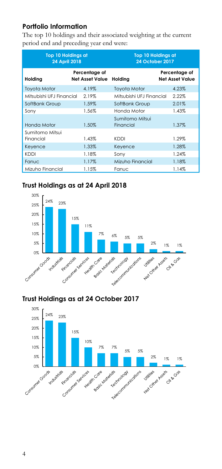## **Portfolio Information**

The top 10 holdings and their associated weighting at the current period end and preceding year end were:

| <b>Top 10 Holdings at</b><br><b>24 April 2018</b> |                                  | <b>Top 10 Holdings at</b><br><b>24 October 2017</b> |                                         |
|---------------------------------------------------|----------------------------------|-----------------------------------------------------|-----------------------------------------|
| Holding                                           | Percentage of<br>Net Asset Value | Holding                                             | Percentage of<br><b>Net Asset Value</b> |
| Toyota Motor                                      | 4.19%                            | <b>Toyota Motor</b>                                 | 4.23%                                   |
| Mitsubishi UEJ Financial                          | 2.19%                            | Mitsubishi UEJ Financial                            | 2.22%                                   |
| SoftBank Group                                    | 1.59%                            | SoftBank Group                                      | 2.01%                                   |
| Sony                                              | 1.56%                            | Honda Motor                                         | 1.43%                                   |
| Honda Motor                                       | 1.50%                            | Sumitomo Mitsui<br>Financial                        | 1.37%                                   |
| Sumitomo Mitsui                                   |                                  |                                                     |                                         |
| Financial                                         | 1.43%                            | KDDI                                                | 1.29%                                   |
| Keyence                                           | 1.33%                            | Keyence                                             | 1.28%                                   |
| KDDI                                              | 1.18%                            | Sony                                                | 1.24%                                   |
| Fanuc                                             | 1.17%                            | Mizuho Financial                                    | 1.18%                                   |
| Mizuho Financial                                  | 1.15%                            | Fanuc                                               | 1.14%                                   |

# **Trust Holdings as at 24 April 2018**



## **Trust Holdings as at 24 October 2017**

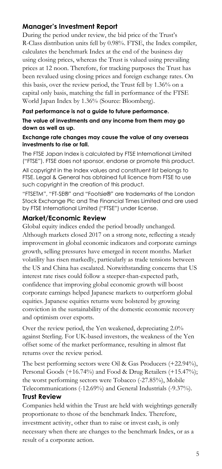## **Manager's Investment Report**

During the period under review, the bid price of the Trust's R-Class distribution units fell by 0.98%. FTSE, the Index compiler, calculates the benchmark Index at the end of the business day using closing prices, whereas the Trust is valued using prevailing prices at 12 noon. Therefore, for tracking purposes the Trust has been revalued using closing prices and foreign exchange rates. On this basis, over the review period, the Trust fell by 1.36% on a capital only basis, matching the fall in performance of the FTSE World Japan Index by 1.36% (Source: Bloomberg).

#### **Past performance is not a guide to future performance.**

**The value of investments and any income from them may go down as well as up.** 

#### **Exchange rate changes may cause the value of any overseas investments to rise or fall.**

The FTSE Japan Index is calculated by FTSE International Limited ("FTSE"). FTSE does not sponsor, endorse or promote this product.

All copyright in the Index values and constituent list belongs to FTSE. Legal & General has obtained full licence from FTSE to use such copyright in the creation of this product.

"FTSETM", "FT-SE®" and "Footsie®" are trademarks of the London Stock Exchange Plc and The Financial Times Limited and are used by FTSE International Limited ("FTSE") under license.

#### **Market/Economic Review**

Global equity indices ended the period broadly unchanged. Although markets closed 2017 on a strong note, reflecting a steady improvement in global economic indicators and corporate earnings growth, selling pressures have emerged in recent months. Market volatility has risen markedly, particularly as trade tensions between the US and China has escalated. Notwithstanding concerns that US interest rate rises could follow a steeper-than-expected path, confidence that improving global economic growth will boost corporate earnings helped Japanese markets to outperform global equities. Japanese equities returns were bolstered by growing conviction in the sustainability of the domestic economic recovery and optimism over exports.

Over the review period, the Yen weakened, depreciating 2.0% against Sterling. For UK-based investors, the weakness of the Yen offset some of the market performance, resulting in almost flat returns over the review period.

The best performing sectors were Oil & Gas Producers (+22.94%), Personal Goods (+16.74%) and Food & Drug Retailers (+15.47%); the worst performing sectors were Tobacco (-27.85%), Mobile Telecommunications (-12.69%) and General Industrials (-9.37%). **Trust Review** 

## Companies held within the Trust are held with weightings generally proportionate to those of the benchmark Index. Therefore, investment activity, other than to raise or invest cash, is only necessary when there are changes to the benchmark Index, or as a result of a corporate action.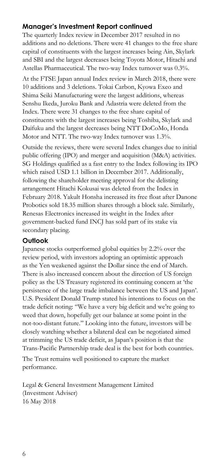## **Manager's Investment Report continued**

The quarterly Index review in December 2017 resulted in no additions and no deletions. There were 41 changes to the free share capital of constituents with the largest increases being Ain, Skylark and SBI and the largest decreases being Toyota Motor, Hitachi and Astellas Pharmaceutical. The two-way Index turnover was 0.3%.

At the FTSE Japan annual Index review in March 2018, there were 10 additions and 3 deletions. Tokai Carbon, Kyowa Exeo and Shima Seiki Manufacturing were the largest additions, whereas Senshu Ikeda, Juroku Bank and Adastria were deleted from the Index. There were 31 changes to the free share capital of constituents with the largest increases being Toshiba, Skylark and Daifuku and the largest decreases being NTT DoCoMo, Honda Motor and NTT. The two-way Index turnover was 1.3%.

Outside the reviews, there were several Index changes due to initial public offering (IPO) and merger and acquisition (M&A) activities. SG Holdings qualified as a fast entry to the Index following its IPO which raised USD 1.1 billion in December 2017. Additionally, following the shareholder meeting approval for the delisting arrangement Hitachi Kokusai was deleted from the Index in February 2018. Yakult Honsha increased its free float after Danone Probotics sold 18.35 million shares through a block sale. Similarly, Renesas Electronics increased its weight in the Index after government-backed fund INCJ has sold part of its stake via secondary placing.

#### **Outlook**

Japanese stocks outperformed global equities by 2.2% over the review period, with investors adopting an optimistic approach as the Yen weakened against the Dollar since the end of March. There is also increased concern about the direction of US foreign policy as the US Treasury registered its continuing concern at 'the persistence of the large trade imbalance between the US and Japan'. U.S. President Donald Trump stated his intentions to focus on the trade deficit noting: "We have a very big deficit and we're going to weed that down, hopefully get our balance at some point in the not-too-distant future." Looking into the future, investors will be closely watching whether a bilateral deal can be negotiated aimed at trimming the US trade deficit, as Japan's position is that the Trans-Pacific Partnership trade deal is the best for both countries.

The Trust remains well positioned to capture the market performance.

Legal & General Investment Management Limited (Investment Adviser) 16 May 2018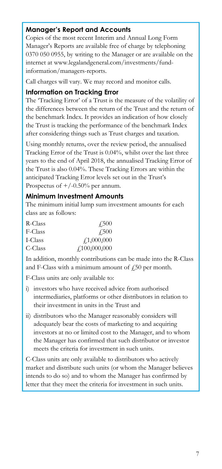## **Manager's Report and Accounts**

Copies of the most recent Interim and Annual Long Form Manager's Reports are available free of charge by telephoning 0370 050 0955, by writing to the Manager or are available on the internet at www.legalandgeneral.com/investments/fundinformation/managers-reports.

Call charges will vary. We may record and monitor calls.

#### **Information on Tracking Error**

The 'Tracking Error' of a Trust is the measure of the volatility of the differences between the return of the Trust and the return of the benchmark Index. It provides an indication of how closely the Trust is tracking the performance of the benchmark Index after considering things such as Trust charges and taxation.

Using monthly returns, over the review period, the annualised Tracking Error of the Trust is 0.04%, whilst over the last three years to the end of April 2018, the annualised Tracking Error of the Trust is also 0.04%. These Tracking Errors are within the anticipated Tracking Error levels set out in the Trust's Prospectus of  $+/-0.50%$  per annum.

### **Minimum Investment Amounts**

The minimum initial lump sum investment amounts for each class are as follows:

| R-Class | 4.500        |
|---------|--------------|
| F-Class | <b>£500</b>  |
| I-Class | f1,000,000   |
| C-Class | f100,000,000 |

In addition, monthly contributions can be made into the R-Class and F-Class with a minimum amount of  $\sqrt{250}$  per month.

F-Class units are only available to:

- i) investors who have received advice from authorised intermediaries, platforms or other distributors in relation to their investment in units in the Trust and
- ii) distributors who the Manager reasonably considers will adequately bear the costs of marketing to and acquiring investors at no or limited cost to the Manager, and to whom the Manager has confirmed that such distributor or investor meets the criteria for investment in such units.

C-Class units are only available to distributors who actively market and distribute such units (or whom the Manager believes intends to do so) and to whom the Manager has confirmed by letter that they meet the criteria for investment in such units.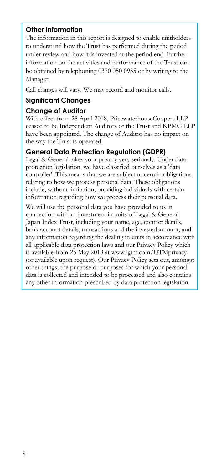## **Other Information**

The information in this report is designed to enable unitholders to understand how the Trust has performed during the period under review and how it is invested at the period end. Further information on the activities and performance of the Trust can be obtained by telephoning 0370 050 0955 or by writing to the Manager.

Call charges will vary. We may record and monitor calls.

## **Significant Changes**

#### **Change of Auditor**

With effect from 28 April 2018, PricewaterhouseCoopers LLP ceased to be Independent Auditors of the Trust and KPMG LLP have been appointed. The change of Auditor has no impact on the way the Trust is operated.

## **General Data Protection Regulation (GDPR)**

Legal & General takes your privacy very seriously. Under data protection legislation, we have classified ourselves as a 'data controller'. This means that we are subject to certain obligations relating to how we process personal data. These obligations include, without limitation, providing individuals with certain information regarding how we process their personal data.

We will use the personal data you have provided to us in connection with an investment in units of Legal & General Japan Index Trust, including your name, age, contact details, bank account details, transactions and the invested amount, and any information regarding the dealing in units in accordance with all applicable data protection laws and our Privacy Policy which is available from 25 May 2018 at www.lgim.com/UTMprivacy (or available upon request). Our Privacy Policy sets out, amongst other things, the purpose or purposes for which your personal data is collected and intended to be processed and also contains any other information prescribed by data protection legislation.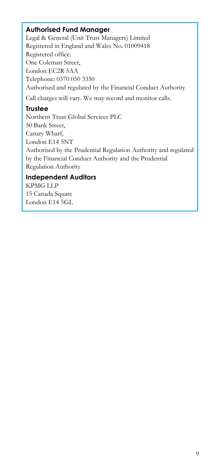## **Authorised Fund Manager**

Legal & General (Unit Trust Managers) Limited Registered in England and Wales No. 01009418 Registered office: One Coleman Street, London EC2R 5AA Telephone: 0370 050 3350 Authorised and regulated by the Financial Conduct Authority Call charges will vary. We may record and monitor calls.

## **Trustee**

Northern Trust Global Services PLC 50 Bank Street, Canary Wharf, London E14 5NT Authorised by the Prudential Regulation Authority and regulated by the Financial Conduct Authority and the Prudential Regulation Authority

## **Independent Auditors**

KPMG LLP 15 Canada Square London E14 5GL